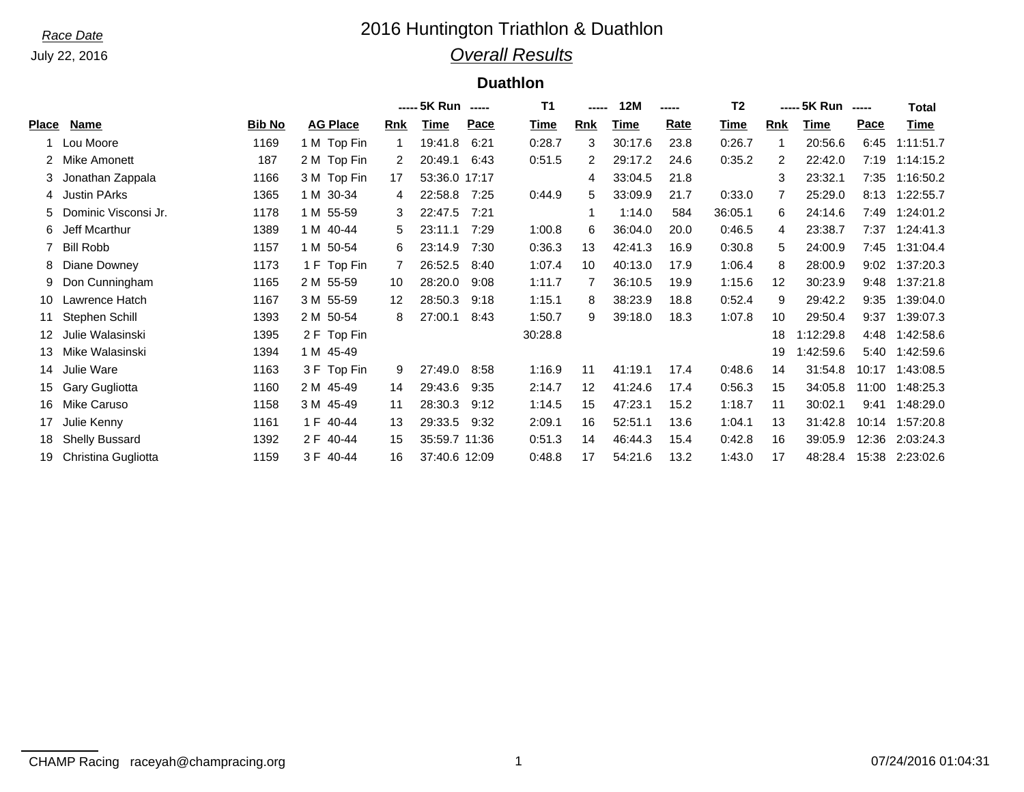## *Race Date* 2016 Huntington Triathlon & Duathlon *Overall Results*

#### **Duathlon**

|       |                       |               |                 |            | ----- 5K Run ----- |      | <b>T1</b> | ----- | 12M     | ----- | T <sub>2</sub> |     | ----- 5K Run | $\begin{array}{cccccccccc} \multicolumn{2}{c}{} & \multicolumn{2}{c}{} & \multicolumn{2}{c}{} & \multicolumn{2}{c}{} & \multicolumn{2}{c}{} & \multicolumn{2}{c}{} & \multicolumn{2}{c}{} & \multicolumn{2}{c}{} & \multicolumn{2}{c}{} & \multicolumn{2}{c}{} & \multicolumn{2}{c}{} & \multicolumn{2}{c}{} & \multicolumn{2}{c}{} & \multicolumn{2}{c}{} & \multicolumn{2}{c}{} & \multicolumn{2}{c}{} & \multicolumn{2}{c}{} & \multicolumn{2}{c}{} & \multicolumn{2}{c}{} & \mult$ | <b>Total</b> |
|-------|-----------------------|---------------|-----------------|------------|--------------------|------|-----------|-------|---------|-------|----------------|-----|--------------|----------------------------------------------------------------------------------------------------------------------------------------------------------------------------------------------------------------------------------------------------------------------------------------------------------------------------------------------------------------------------------------------------------------------------------------------------------------------------------------|--------------|
| Place | Name                  | <b>Bib No</b> | <b>AG Place</b> | <b>Rnk</b> | Time               | Pace | Time      | Rnk   | Time    | Rate  | Time           | Rnk | Time         | Pace                                                                                                                                                                                                                                                                                                                                                                                                                                                                                   | Time         |
|       | Lou Moore             | 1169          | 1 M Top Fin     |            | 19:41.8            | 6:21 | 0:28.7    | 3     | 30:17.6 | 23.8  | 0:26.7         |     | 20:56.6      | 6:45                                                                                                                                                                                                                                                                                                                                                                                                                                                                                   | 1:11:51.7    |
| 2     | Mike Amonett          | 187           | 2 M Top Fin     | 2          | 20:49.1            | 6:43 | 0:51.5    | 2     | 29:17.2 | 24.6  | 0:35.2         | 2   | 22:42.0      | 7:19                                                                                                                                                                                                                                                                                                                                                                                                                                                                                   | 1:14:15.2    |
| 3     | Jonathan Zappala      | 1166          | 3 M Top Fin     | 17         | 53:36.0 17:17      |      |           | 4     | 33:04.5 | 21.8  |                | 3   | 23:32.1      | 7:35                                                                                                                                                                                                                                                                                                                                                                                                                                                                                   | 1:16:50.2    |
| 4     | Justin PArks          | 1365          | 1 M 30-34       | 4          | 22:58.8            | 7:25 | 0:44.9    | 5     | 33:09.9 | 21.7  | 0:33.0         |     | 25:29.0      | 8:13                                                                                                                                                                                                                                                                                                                                                                                                                                                                                   | 1:22:55.7    |
| 5.    | Dominic Visconsi Jr.  | 1178          | 1 M 55-59       | 3          | 22:47.5            | 7:21 |           |       | 1:14.0  | 584   | 36:05.1        | 6   | 24:14.6      | 7:49                                                                                                                                                                                                                                                                                                                                                                                                                                                                                   | 1:24:01.2    |
| 6     | Jeff Mcarthur         | 1389          | 1 M 40-44       | 5          | 23:11.1            | 7:29 | 1:00.8    | 6     | 36:04.0 | 20.0  | 0:46.5         | 4   | 23:38.7      | 7:37                                                                                                                                                                                                                                                                                                                                                                                                                                                                                   | 1:24:41.3    |
|       | <b>Bill Robb</b>      | 1157          | 1 M 50-54       | 6          | 23:14.9            | 7:30 | 0:36.3    | 13    | 42:41.3 | 16.9  | 0:30.8         | 5   | 24:00.9      | 7:45                                                                                                                                                                                                                                                                                                                                                                                                                                                                                   | 1:31:04.4    |
| 8     | Diane Downey          | 1173          | 1 F Top Fin     | 7          | 26:52.5            | 8:40 | 1:07.4    | 10    | 40:13.0 | 17.9  | 1:06.4         | 8   | 28:00.9      | 9:02                                                                                                                                                                                                                                                                                                                                                                                                                                                                                   | 1:37:20.3    |
| 9     | Don Cunningham        | 1165          | 2 M 55-59       | 10         | 28:20.0            | 9:08 | 1:11.7    |       | 36:10.5 | 19.9  | 1:15.6         | 12  | 30:23.9      | 9:48                                                                                                                                                                                                                                                                                                                                                                                                                                                                                   | 1:37:21.8    |
| 10    | Lawrence Hatch        | 1167          | 3 M 55-59       | 12         | 28:50.3            | 9:18 | 1:15.1    | 8     | 38:23.9 | 18.8  | 0:52.4         | 9   | 29:42.2      | 9:35                                                                                                                                                                                                                                                                                                                                                                                                                                                                                   | 1:39:04.0    |
| 11    | Stephen Schill        | 1393          | 2 M 50-54       | 8          | 27:00.1            | 8:43 | 1:50.7    | 9     | 39:18.0 | 18.3  | 1:07.8         | 10  | 29:50.4      | 9:37                                                                                                                                                                                                                                                                                                                                                                                                                                                                                   | 1:39:07.3    |
|       | Julie Walasinski      | 1395          | 2 F Top Fin     |            |                    |      | 30:28.8   |       |         |       |                | 18  | 1:12:29.8    | 4:48                                                                                                                                                                                                                                                                                                                                                                                                                                                                                   | 1:42:58.6    |
| 13    | Mike Walasinski       | 1394          | 1 M 45-49       |            |                    |      |           |       |         |       |                | 19  | 1:42:59.6    | 5:40                                                                                                                                                                                                                                                                                                                                                                                                                                                                                   | 1:42:59.6    |
| 14    | Julie Ware            | 1163          | 3 F Top Fin     | 9          | 27:49.0            | 8:58 | 1:16.9    | 11    | 41:19.1 | 17.4  | 0:48.6         | 14  | 31:54.8      | 10:17                                                                                                                                                                                                                                                                                                                                                                                                                                                                                  | 1:43:08.5    |
| 15    | Gary Gugliotta        | 1160          | 2 M 45-49       | 14         | 29:43.6            | 9:35 | 2:14.7    | 12    | 41:24.6 | 17.4  | 0:56.3         | 15  | 34:05.8      | 11:00                                                                                                                                                                                                                                                                                                                                                                                                                                                                                  | 1:48:25.3    |
| 16    | Mike Caruso           | 1158          | 3 M 45-49       | 11         | 28:30.3            | 9:12 | 1:14.5    | 15    | 47:23.1 | 15.2  | 1:18.7         | 11  | 30:02.1      | 9:41                                                                                                                                                                                                                                                                                                                                                                                                                                                                                   | 1:48:29.0    |
| 17    | Julie Kenny           | 1161          | 1 F 40-44       | 13         | 29:33.5            | 9:32 | 2:09.1    | 16    | 52:51.1 | 13.6  | 1:04.1         | 13  | 31:42.8      | 10:14                                                                                                                                                                                                                                                                                                                                                                                                                                                                                  | 1:57:20.8    |
| 18    | <b>Shelly Bussard</b> | 1392          | 2 F 40-44       | 15         | 35:59.7 11:36      |      | 0:51.3    | 14    | 46:44.3 | 15.4  | 0:42.8         | 16  | 39:05.9      | 12:36                                                                                                                                                                                                                                                                                                                                                                                                                                                                                  | 2:03:24.3    |
| 19    | Christina Gugliotta   | 1159          | 3F<br>40-44     | 16         | 37:40.6 12:09      |      | 0:48.8    | 17    | 54:21.6 | 13.2  | 1:43.0         | 17  | 48:28.4      | 15:38                                                                                                                                                                                                                                                                                                                                                                                                                                                                                  | 2:23:02.6    |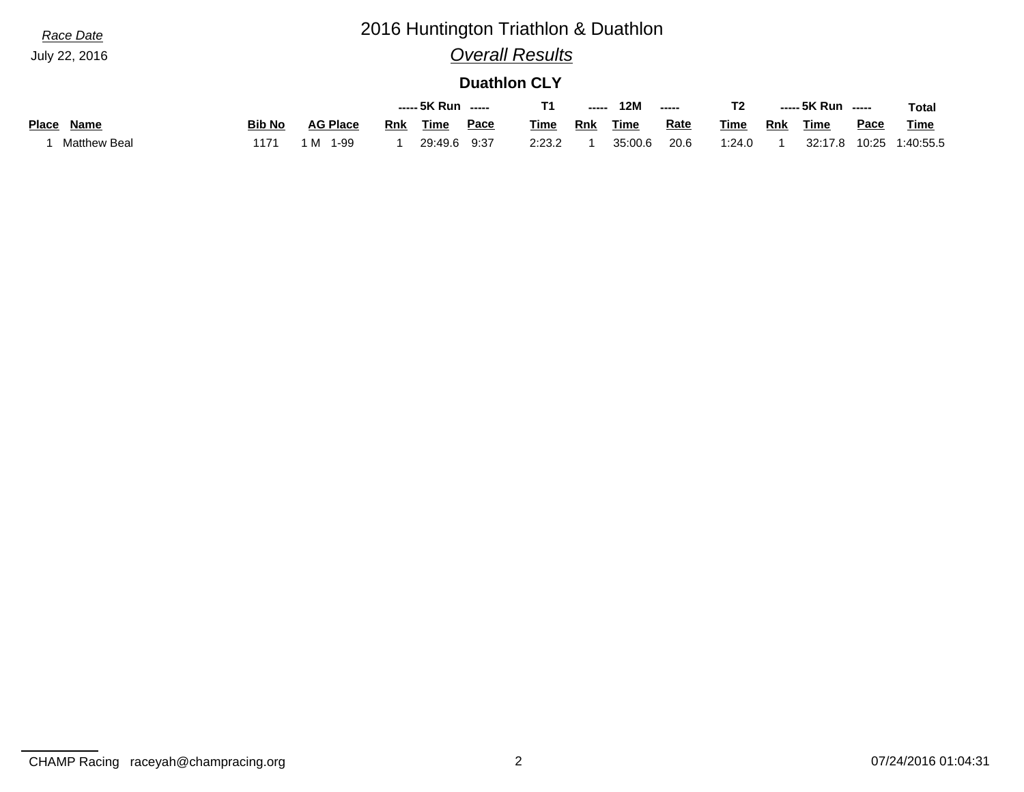# *Race Date* 2016 Huntington Triathlon & Duathlon

## *Overall Results*

#### **Duathlon CLY**

|                      |               |                 |            | ----- 5K Run ----- |             |        | ----- | 12M         | -----       |        |            | ----- 5K Run ----- |             | <b>Total</b> |
|----------------------|---------------|-----------------|------------|--------------------|-------------|--------|-------|-------------|-------------|--------|------------|--------------------|-------------|--------------|
| Name<br><b>Place</b> | <b>Bib No</b> | <b>AG Place</b> | <b>Rnk</b> | Time               | <b>Pace</b> | Time   | Rnk   | <b>Time</b> | <b>Rate</b> | Time   | <b>Rnk</b> | <b>Time</b>        | <u>Pace</u> | <b>Time</b>  |
| <b>Matthew Beal</b>  | 1171          | 1-99<br>1 M     |            | 29:49.6            | 9:37        | 2:23.2 |       | 35:00.6     | 20.6        | 1:24.0 |            | 32:17.8            | 10:25       | 1:40:55.5    |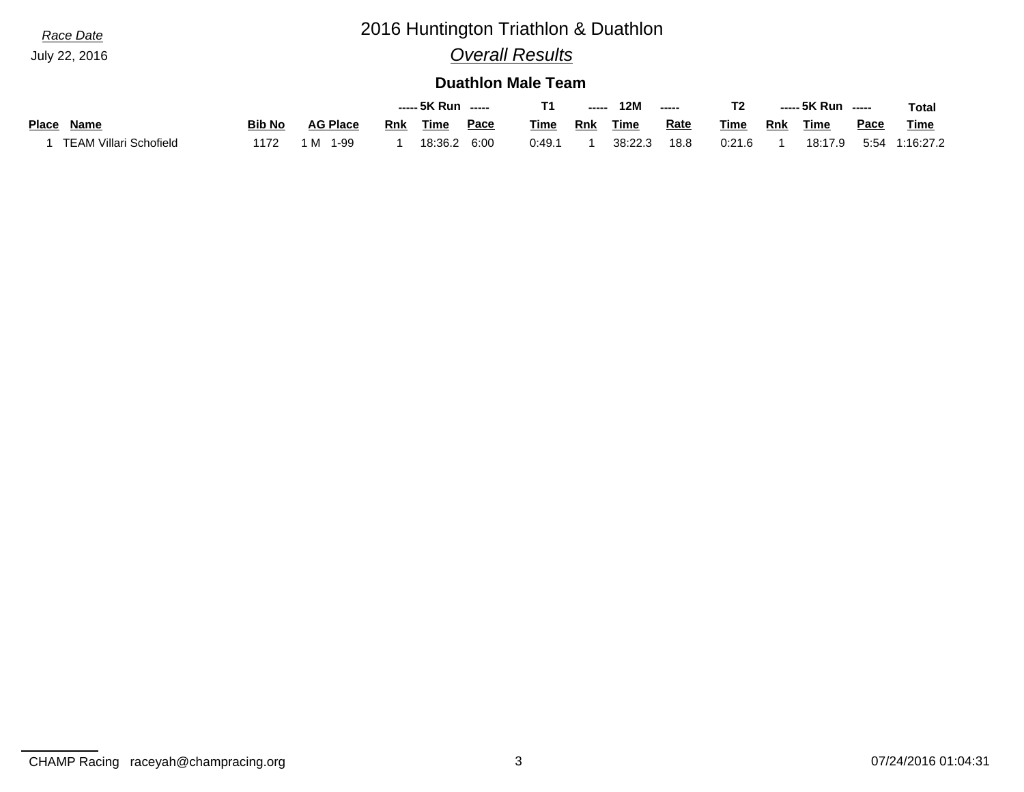## *Race Date* 2016 Huntington Triathlon & Duathlon

## *Overall Results*

#### **Duathlon Male Team**

|                        |               |                 |            | ----- 5K Run ----- |             |             | $\begin{array}{c} \multicolumn{3}{c}{} & \multicolumn{3}{c}{} & \multicolumn{3}{c}{} \\ \multicolumn{3}{c}{} & \multicolumn{3}{c}{} & \multicolumn{3}{c}{} & \multicolumn{3}{c}{} \\ \multicolumn{3}{c}{} & \multicolumn{3}{c}{} & \multicolumn{3}{c}{} & \multicolumn{3}{c}{} \\ \multicolumn{3}{c}{} & \multicolumn{3}{c}{} & \multicolumn{3}{c}{} & \multicolumn{3}{c}{} \\ \multicolumn{3}{c}{} & \multicolumn{3}{c}{} & \multicolumn{3}{c}{} & \multicolumn{3}{c}{} \\ \multicolumn$ | <b>12M</b>  | $\begin{array}{cccccccccccccc} \multicolumn{2}{c}{} & \multicolumn{2}{c}{} & \multicolumn{2}{c}{} & \multicolumn{2}{c}{} & \multicolumn{2}{c}{} & \multicolumn{2}{c}{} & \multicolumn{2}{c}{} & \multicolumn{2}{c}{} & \multicolumn{2}{c}{} & \multicolumn{2}{c}{} & \multicolumn{2}{c}{} & \multicolumn{2}{c}{} & \multicolumn{2}{c}{} & \multicolumn{2}{c}{} & \multicolumn{2}{c}{} & \multicolumn{2}{c}{} & \multicolumn{2}{c}{} & \multicolumn{2}{c}{} & \multicolumn{2}{c}{} & \$ |        |            | ----- 5K Run ----- |      | Total       |
|------------------------|---------------|-----------------|------------|--------------------|-------------|-------------|-------------------------------------------------------------------------------------------------------------------------------------------------------------------------------------------------------------------------------------------------------------------------------------------------------------------------------------------------------------------------------------------------------------------------------------------------------------------------------------------|-------------|----------------------------------------------------------------------------------------------------------------------------------------------------------------------------------------------------------------------------------------------------------------------------------------------------------------------------------------------------------------------------------------------------------------------------------------------------------------------------------------|--------|------------|--------------------|------|-------------|
| Name<br><b>Place</b>   | <b>Bib No</b> | <b>AG Place</b> | <b>Rnk</b> | Time               | <u>Pace</u> | <b>Time</b> | <b>Rnk</b>                                                                                                                                                                                                                                                                                                                                                                                                                                                                                | <b>Time</b> | <u>Rate</u>                                                                                                                                                                                                                                                                                                                                                                                                                                                                            | Time   | <b>Rnk</b> | Time               | Pace | <b>Time</b> |
| TEAM Villari Schofield | 1172          | ' M<br>1-99     |            | 18:36.2            | 6:00        | 0:49.7      |                                                                                                                                                                                                                                                                                                                                                                                                                                                                                           | 38:22.3     | 18.8                                                                                                                                                                                                                                                                                                                                                                                                                                                                                   | 0:21.6 |            | 18:17.9            | 5:54 | 1:16:27.2   |

CHAMP Racing raceyah@champracing.org 3 07/24/2016 01:04:31